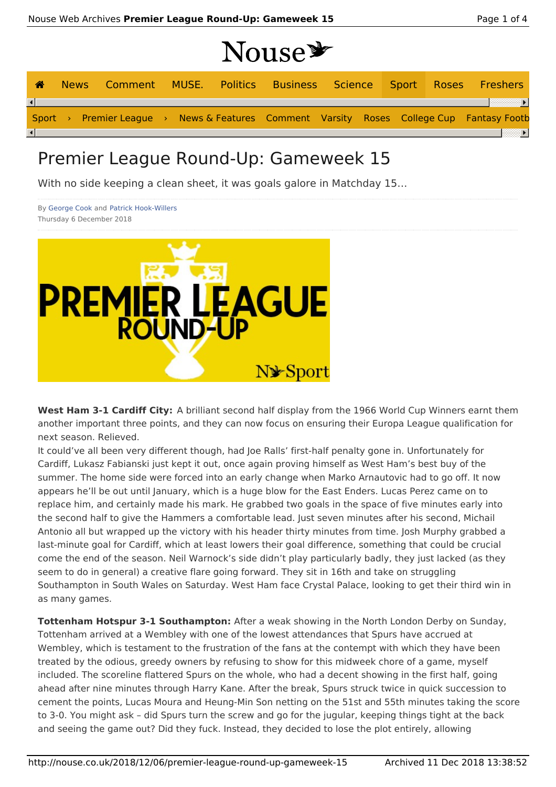# Nouse \*

| ☎ | News Comment MUSE. Politics Business Science Sport Roses Freshers                        |  |  |  |  |  |
|---|------------------------------------------------------------------------------------------|--|--|--|--|--|
|   |                                                                                          |  |  |  |  |  |
|   | Sport > Premier League > News & Features Comment Varsity Roses College Cup Fantasy Footb |  |  |  |  |  |
|   |                                                                                          |  |  |  |  |  |

# Premier League Round-Up: Gameweek 15

With no side keeping a clean sheet, it was goals galore in Matchday 15…

By George Cook and Patrick Hook-Willers Thursday 6 December 2018



**West Ham 3-1 Cardiff City:** A brilliant second half display from the 1966 World Cup Winners earnt them another important three points, and they can now focus on ensuring their Europa League qualification for next season. Relieved.

It could've all been very different though, had Joe Ralls' first-half penalty gone in. Unfortunately for Cardiff, Lukasz Fabianski just kept it out, once again proving himself as West Ham's best buy of the summer. The home side were forced into an early change when Marko Arnautovic had to go off. It now appears he'll be out until January, which is a huge blow for the East Enders. Lucas Perez came on to replace him, and certainly made his mark. He grabbed two goals in the space of five minutes early into the second half to give the Hammers a comfortable lead. Just seven minutes after his second, Michail Antonio all but wrapped up the victory with his header thirty minutes from time. Josh Murphy grabbed a last-minute goal for Cardiff, which at least lowers their goal difference, something that could be crucial come the end of the season. Neil Warnock's side didn't play particularly badly, they just lacked (as they seem to do in general) a creative flare going forward. They sit in 16th and take on struggling Southampton in South Wales on Saturday. West Ham face Crystal Palace, looking to get their third win in as many games.

**Tottenham Hotspur 3-1 Southampton:** After a weak showing in the North London Derby on Sunday, Tottenham arrived at a Wembley with one of the lowest attendances that Spurs have accrued at Wembley, which is testament to the frustration of the fans at the contempt with which they have been treated by the odious, greedy owners by refusing to show for this midweek chore of a game, myself included. The scoreline flattered Spurs on the whole, who had a decent showing in the first half, going ahead after nine minutes through Harry Kane. After the break, Spurs struck twice in quick succession to cement the points, Lucas Moura and Heung-Min Son netting on the 51st and 55th minutes taking the score to 3-0. You might ask – did Spurs turn the screw and go for the jugular, keeping things tight at the back and seeing the game out? Did they fuck. Instead, they decided to lose the plot entirely, allowing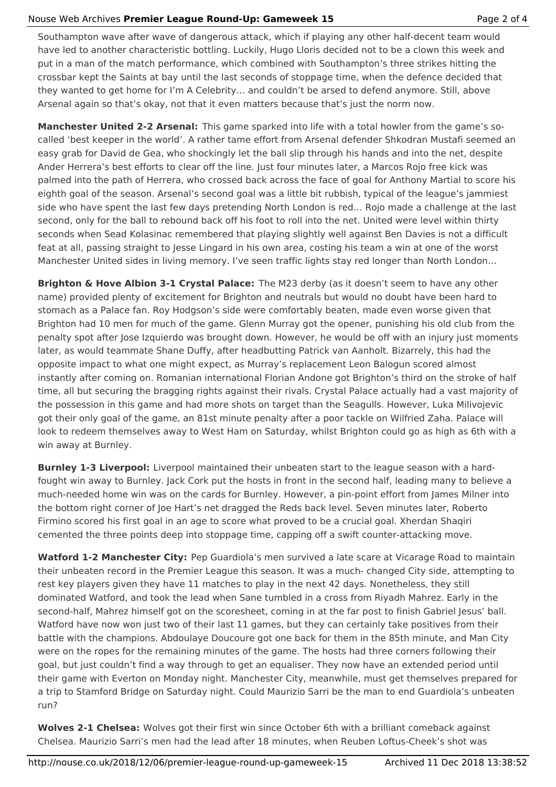### Nouse Web Archives **Premier League Round-Up: Gameweek 15** Page 2 of 4

Southampton wave after wave of dangerous attack, which if playing any other half-decent team would have led to another characteristic bottling. Luckily, Hugo Lloris decided not to be a clown this week and put in a man of the match performance, which combined with Southampton's three strikes hitting the crossbar kept the Saints at bay until the last seconds of stoppage time, when the defence decided that they wanted to get home for I'm A Celebrity… and couldn't be arsed to defend anymore. Still, above Arsenal again so that's okay, not that it even matters because that's just the norm now.

**Manchester United 2-2 Arsenal:** This game sparked into life with a total howler from the game's socalled 'best keeper in the world'. A rather tame effort from Arsenal defender Shkodran Mustafi seemed an easy grab for David de Gea, who shockingly let the ball slip through his hands and into the net, despite Ander Herrera's best efforts to clear off the line. Just four minutes later, a Marcos Rojo free kick was palmed into the path of Herrera, who crossed back across the face of goal for Anthony Martial to score his eighth goal of the season. Arsenal's second goal was a little bit rubbish, typical of the league's jammiest side who have spent the last few days pretending North London is red… Rojo made a challenge at the last second, only for the ball to rebound back off his foot to roll into the net. United were level within thirty seconds when Sead Kolasinac remembered that playing slightly well against Ben Davies is not a difficult feat at all, passing straight to Jesse Lingard in his own area, costing his team a win at one of the worst Manchester United sides in living memory. I've seen traffic lights stay red longer than North London…

**Brighton & Hove Albion 3-1 Crystal Palace:** The M23 derby (as it doesn't seem to have any other name) provided plenty of excitement for Brighton and neutrals but would no doubt have been hard to stomach as a Palace fan. Roy Hodgson's side were comfortably beaten, made even worse given that Brighton had 10 men for much of the game. Glenn Murray got the opener, punishing his old club from the penalty spot after Jose Izquierdo was brought down. However, he would be off with an injury just moments later, as would teammate Shane Duffy, after headbutting Patrick van Aanholt. Bizarrely, this had the opposite impact to what one might expect, as Murray's replacement Leon Balogun scored almost instantly after coming on. Romanian international Florian Andone got Brighton's third on the stroke of half time, all but securing the bragging rights against their rivals. Crystal Palace actually had a vast majority of the possession in this game and had more shots on target than the Seagulls. However, Luka Milivojevic got their only goal of the game, an 81st minute penalty after a poor tackle on Wilfried Zaha. Palace will look to redeem themselves away to West Ham on Saturday, whilst Brighton could go as high as 6th with a win away at Burnley.

**Burnley 1-3 Liverpool:** Liverpool maintained their unbeaten start to the league season with a hardfought win away to Burnley. Jack Cork put the hosts in front in the second half, leading many to believe a much-needed home win was on the cards for Burnley. However, a pin-point effort from James Milner into the bottom right corner of Joe Hart's net dragged the Reds back level. Seven minutes later, Roberto Firmino scored his first goal in an age to score what proved to be a crucial goal. Xherdan Shaqiri cemented the three points deep into stoppage time, capping off a swift counter-attacking move.

**Watford 1-2 Manchester City:** Pep Guardiola's men survived a late scare at Vicarage Road to maintain their unbeaten record in the Premier League this season. It was a much- changed City side, attempting to rest key players given they have 11 matches to play in the next 42 days. Nonetheless, they still dominated Watford, and took the lead when Sane tumbled in a cross from Riyadh Mahrez. Early in the second-half, Mahrez himself got on the scoresheet, coming in at the far post to finish Gabriel Jesus' ball. Watford have now won just two of their last 11 games, but they can certainly take positives from their battle with the champions. Abdoulaye Doucoure got one back for them in the 85th minute, and Man City were on the ropes for the remaining minutes of the game. The hosts had three corners following their goal, but just couldn't find a way through to get an equaliser. They now have an extended period until their game with Everton on Monday night. Manchester City, meanwhile, must get themselves prepared for a trip to Stamford Bridge on Saturday night. Could Maurizio Sarri be the man to end Guardiola's unbeaten run?

**Wolves 2-1 Chelsea:** Wolves got their first win since October 6th with a brilliant comeback against Chelsea. Maurizio Sarri's men had the lead after 18 minutes, when Reuben Loftus-Cheek's shot was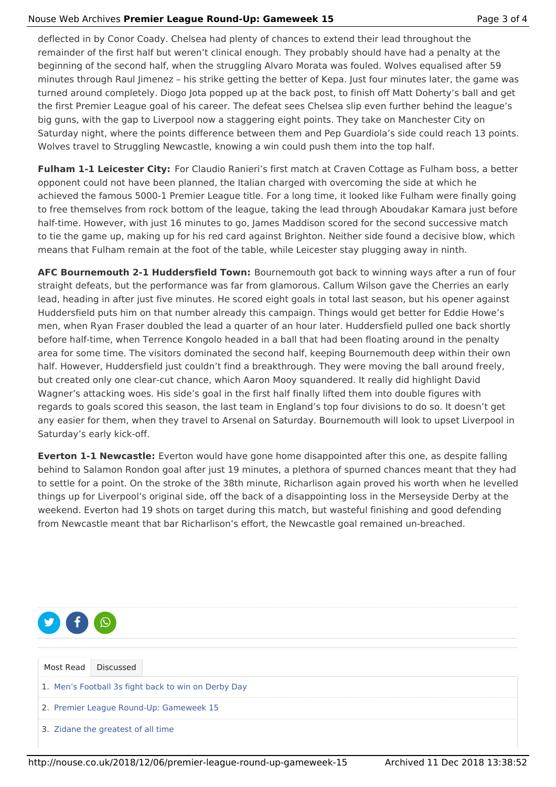## Nouse Web Archives **Premier League Round-Up: Gameweek 15** Page 3 of 4

deflected in by Conor Coady. Chelsea had plenty of chances to extend their lead throughout the remainder of the first half but weren't clinical enough. They probably should have had a penalty at the beginning of the second half, when the struggling Alvaro Morata was fouled. Wolves equalised after 59 minutes through Raul Jimenez – his strike getting the better of Kepa. Just four minutes later, the game was turned around completely. Diogo Jota popped up at the back post, to finish off Matt Doherty's ball and get the first Premier League goal of his career. The defeat sees Chelsea slip even further behind the league's big guns, with the gap to Liverpool now a staggering eight points. They take on Manchester City on Saturday night, where the points difference between them and Pep Guardiola's side could reach 13 points. Wolves travel to Struggling Newcastle, knowing a win could push them into the top half.

**Fulham 1-1 Leicester City:** For Claudio Ranieri's first match at Craven Cottage as Fulham boss, a better opponent could not have been planned, the Italian charged with overcoming the side at which he achieved the famous 5000-1 Premier League title. For a long time, it looked like Fulham were finally going to free themselves from rock bottom of the league, taking the lead through Aboudakar Kamara just before half-time. However, with just 16 minutes to go, James Maddison scored for the second successive match to tie the game up, making up for his red card against Brighton. Neither side found a decisive blow, which means that Fulham remain at the foot of the table, while Leicester stay plugging away in ninth.

**AFC Bournemouth 2-1 Huddersfield Town:** Bournemouth got back to winning ways after a run of four straight defeats, but the performance was far from glamorous. Callum Wilson gave the Cherries an early lead, heading in after just five minutes. He scored eight goals in total last season, but his opener against Huddersfield puts him on that number already this campaign. Things would get better for Eddie Howe's men, when Ryan Fraser doubled the lead a quarter of an hour later. Huddersfield pulled one back shortly before half-time, when Terrence Kongolo headed in a ball that had been floating around in the penalty area for some time. The visitors dominated the second half, keeping Bournemouth deep within their own half. However, Huddersfield just couldn't find a breakthrough. They were moving the ball around freely, but created only one clear-cut chance, which Aaron Mooy squandered. It really did highlight David Wagner's attacking woes. His side's goal in the first half finally lifted them into double figures with regards to goals scored this season, the last team in England's top four divisions to do so. It doesn't get any easier for them, when they travel to Arsenal on Saturday. Bournemouth will look to upset Liverpool in Saturday's early kick-off.

**Everton 1-1 Newcastle:** Everton would have gone home disappointed after this one, as despite falling behind to Salamon Rondon goal after just 19 minutes, a plethora of spurned chances meant that they had to settle for a point. On the stroke of the 38th minute, Richarlison again proved his worth when he levelled things up for Liverpool's original side, off the back of a disappointing loss in the Merseyside Derby at the weekend. Everton had 19 shots on target during this match, but wasteful finishing and good defending from Newcastle meant that bar Richarlison's effort, the Newcastle goal remained un-breached.



Most Read Discussed

1. Men's Football 3s fight back to win on Derby Day

2. Premier League Round-Up: Gameweek 15

3. Zidane the greatest of all time